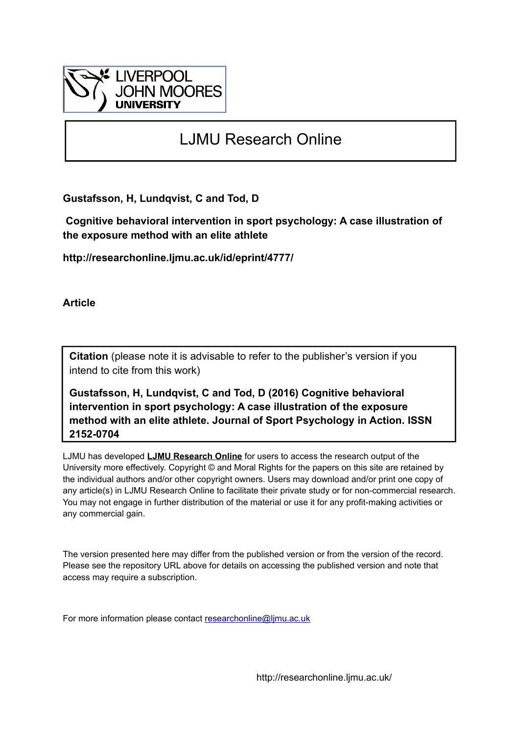

## LJMU Research Online

**Gustafsson, H, Lundqvist, C and Tod, D**

 **Cognitive behavioral intervention in sport psychology: A case illustration of the exposure method with an elite athlete**

**http://researchonline.ljmu.ac.uk/id/eprint/4777/**

**Article**

**Citation** (please note it is advisable to refer to the publisher's version if you intend to cite from this work)

**Gustafsson, H, Lundqvist, C and Tod, D (2016) Cognitive behavioral intervention in sport psychology: A case illustration of the exposure method with an elite athlete. Journal of Sport Psychology in Action. ISSN 2152-0704** 

LJMU has developed **[LJMU Research Online](http://researchonline.ljmu.ac.uk/)** for users to access the research output of the University more effectively. Copyright © and Moral Rights for the papers on this site are retained by the individual authors and/or other copyright owners. Users may download and/or print one copy of any article(s) in LJMU Research Online to facilitate their private study or for non-commercial research. You may not engage in further distribution of the material or use it for any profit-making activities or any commercial gain.

The version presented here may differ from the published version or from the version of the record. Please see the repository URL above for details on accessing the published version and note that access may require a subscription.

For more information please contact [researchonline@ljmu.ac.uk](mailto:researchonline@ljmu.ac.uk)

http://researchonline.ljmu.ac.uk/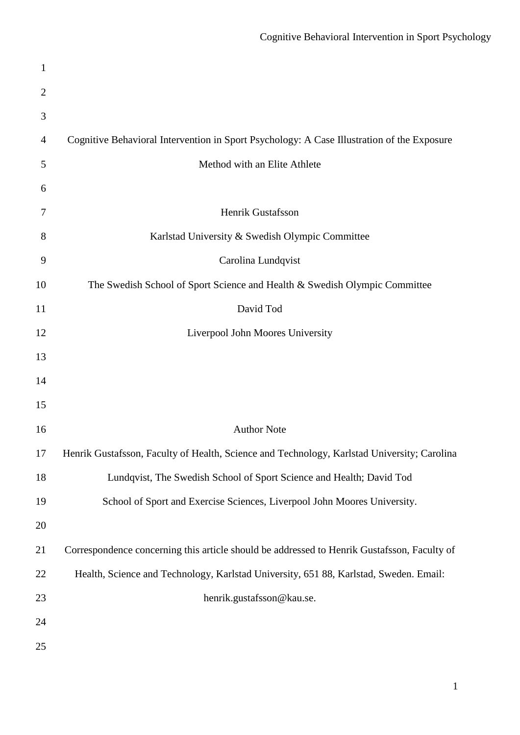| $\mathbf{1}$   |                                                                                             |
|----------------|---------------------------------------------------------------------------------------------|
| 2              |                                                                                             |
| 3              |                                                                                             |
| $\overline{4}$ | Cognitive Behavioral Intervention in Sport Psychology: A Case Illustration of the Exposure  |
| 5              | Method with an Elite Athlete                                                                |
| 6              |                                                                                             |
| 7              | Henrik Gustafsson                                                                           |
| 8              | Karlstad University & Swedish Olympic Committee                                             |
| 9              | Carolina Lundqvist                                                                          |
| 10             | The Swedish School of Sport Science and Health & Swedish Olympic Committee                  |
| 11             | David Tod                                                                                   |
| 12             | Liverpool John Moores University                                                            |
| 13             |                                                                                             |
| 14             |                                                                                             |
| 15             |                                                                                             |
| 16             | <b>Author Note</b>                                                                          |
| 17             | Henrik Gustafsson, Faculty of Health, Science and Technology, Karlstad University; Carolina |
| 18             | Lundqvist, The Swedish School of Sport Science and Health; David Tod                        |
| 19             | School of Sport and Exercise Sciences, Liverpool John Moores University.                    |
| 20             |                                                                                             |
| 21             | Correspondence concerning this article should be addressed to Henrik Gustafsson, Faculty of |
| 22             | Health, Science and Technology, Karlstad University, 651 88, Karlstad, Sweden. Email:       |
| 23             | henrik.gustafsson@kau.se.                                                                   |
| 24             |                                                                                             |
| 25             |                                                                                             |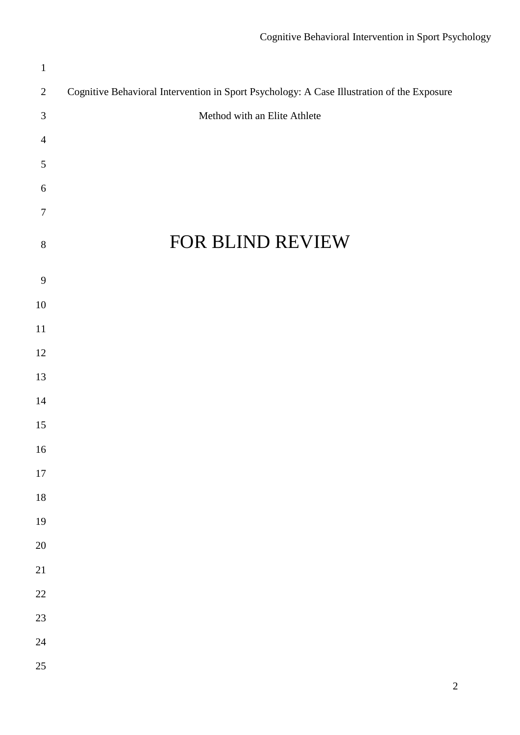| $\mathbf{1}$   |                                                                                            |
|----------------|--------------------------------------------------------------------------------------------|
| $\overline{c}$ | Cognitive Behavioral Intervention in Sport Psychology: A Case Illustration of the Exposure |
| $\mathfrak{Z}$ | Method with an Elite Athlete                                                               |
| $\overline{4}$ |                                                                                            |
| 5              |                                                                                            |
| 6              |                                                                                            |
| $\tau$         |                                                                                            |
| $\,8\,$        | FOR BLIND REVIEW                                                                           |
| 9              |                                                                                            |
| $10\,$         |                                                                                            |
| $11\,$         |                                                                                            |
| $12\,$         |                                                                                            |
| 13             |                                                                                            |
| $14$           |                                                                                            |
| 15             |                                                                                            |
| $16$           |                                                                                            |
| $17\,$         |                                                                                            |
| $18\,$         |                                                                                            |
| 19             |                                                                                            |
| 20             |                                                                                            |
| 21             |                                                                                            |
| 22             |                                                                                            |
| 23             |                                                                                            |
| 24             |                                                                                            |
| 25             |                                                                                            |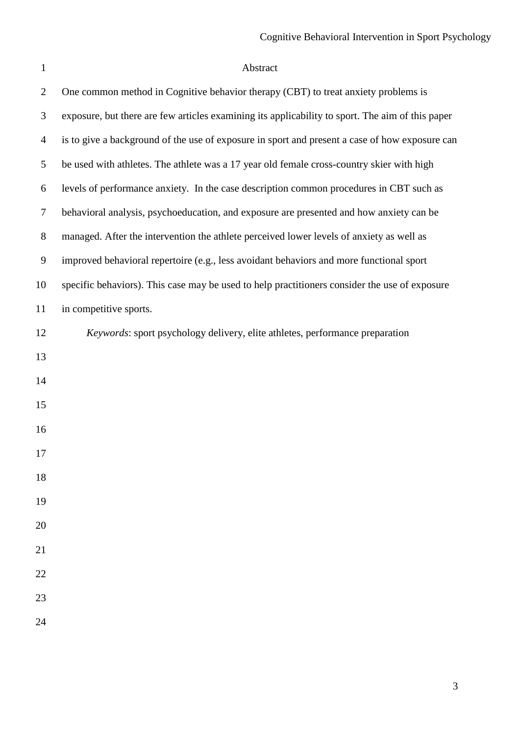| $\mathbf{1}$   | Abstract                                                                                         |
|----------------|--------------------------------------------------------------------------------------------------|
| $\overline{2}$ | One common method in Cognitive behavior therapy (CBT) to treat anxiety problems is               |
| 3              | exposure, but there are few articles examining its applicability to sport. The aim of this paper |
| $\overline{4}$ | is to give a background of the use of exposure in sport and present a case of how exposure can   |
| 5              | be used with athletes. The athlete was a 17 year old female cross-country skier with high        |
| 6              | levels of performance anxiety. In the case description common procedures in CBT such as          |
| $\tau$         | behavioral analysis, psychoeducation, and exposure are presented and how anxiety can be          |
| $8\,$          | managed. After the intervention the athlete perceived lower levels of anxiety as well as         |
| 9              | improved behavioral repertoire (e.g., less avoidant behaviors and more functional sport          |
| 10             | specific behaviors). This case may be used to help practitioners consider the use of exposure    |
| 11             | in competitive sports.                                                                           |
| 12             | Keywords: sport psychology delivery, elite athletes, performance preparation                     |
| 13             |                                                                                                  |
| 14             |                                                                                                  |
| 15             |                                                                                                  |
| 16             |                                                                                                  |
| 17             |                                                                                                  |
| 18             |                                                                                                  |
| 19             |                                                                                                  |
| 20             |                                                                                                  |
| 21             |                                                                                                  |
| 22             |                                                                                                  |
| 23             |                                                                                                  |
| 24             |                                                                                                  |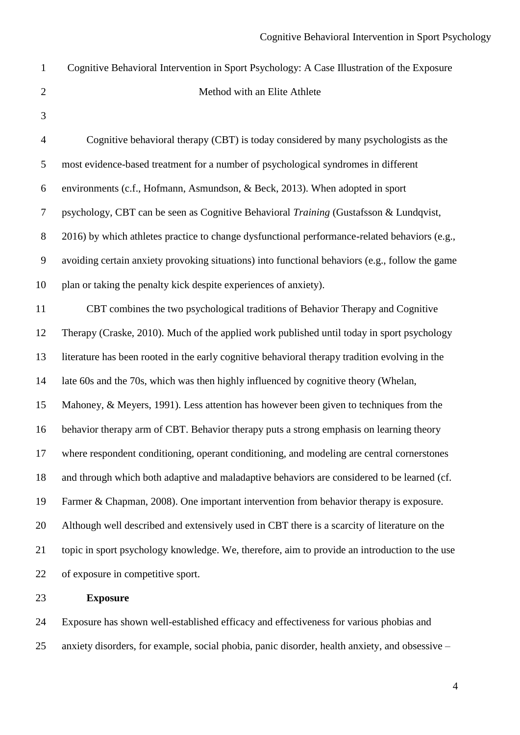- Cognitive Behavioral Intervention in Sport Psychology: A Case Illustration of the Exposure Method with an Elite Athlete
- 

 Cognitive behavioral therapy (CBT) is today considered by many psychologists as the most evidence-based treatment for a number of psychological syndromes in different environments (c.f., Hofmann, Asmundson, & Beck, 2013). When adopted in sport psychology, CBT can be seen as Cognitive Behavioral *Training* (Gustafsson & Lundqvist, 2016) by which athletes practice to change dysfunctional performance-related behaviors (e.g., avoiding certain anxiety provoking situations) into functional behaviors (e.g., follow the game plan or taking the penalty kick despite experiences of anxiety). CBT combines the two psychological traditions of Behavior Therapy and Cognitive Therapy (Craske, 2010). Much of the applied work published until today in sport psychology literature has been rooted in the early cognitive behavioral therapy tradition evolving in the late 60s and the 70s, which was then highly influenced by cognitive theory (Whelan, Mahoney, & Meyers, 1991). Less attention has however been given to techniques from the behavior therapy arm of CBT. Behavior therapy puts a strong emphasis on learning theory where respondent conditioning, operant conditioning, and modeling are central cornerstones and through which both adaptive and maladaptive behaviors are considered to be learned (cf. Farmer & Chapman, 2008). One important intervention from behavior therapy is exposure. Although well described and extensively used in CBT there is a scarcity of literature on the topic in sport psychology knowledge. We, therefore, aim to provide an introduction to the use of exposure in competitive sport.

## **Exposure**

 Exposure has shown well-established efficacy and effectiveness for various phobias and anxiety disorders, for example, social phobia, panic disorder, health anxiety, and obsessive –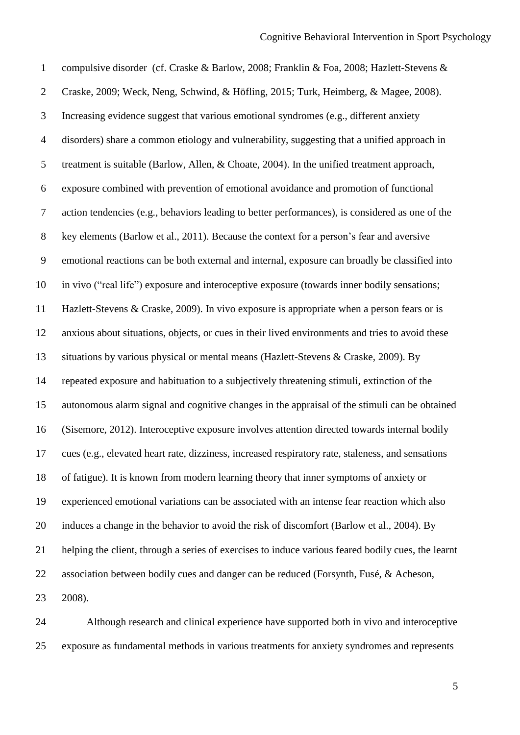compulsive disorder (cf. Craske & Barlow, 2008; Franklin & Foa, 2008; Hazlett-Stevens & Craske, 2009; Weck, Neng, Schwind, & Höfling, 2015; Turk, Heimberg, & Magee, 2008). Increasing evidence suggest that various emotional syndromes (e.g., different anxiety disorders) share a common etiology and vulnerability, suggesting that a unified approach in treatment is suitable (Barlow, Allen, & Choate, 2004). In the unified treatment approach, exposure combined with prevention of emotional avoidance and promotion of functional action tendencies (e.g., behaviors leading to better performances), is considered as one of the key elements (Barlow et al., 2011). Because the context for a person's fear and aversive emotional reactions can be both external and internal, exposure can broadly be classified into in vivo ("real life") exposure and interoceptive exposure (towards inner bodily sensations; Hazlett-Stevens & Craske, 2009). In vivo exposure is appropriate when a person fears or is anxious about situations, objects, or cues in their lived environments and tries to avoid these situations by various physical or mental means (Hazlett-Stevens & Craske, 2009). By repeated exposure and habituation to a subjectively threatening stimuli, extinction of the autonomous alarm signal and cognitive changes in the appraisal of the stimuli can be obtained (Sisemore, 2012). Interoceptive exposure involves attention directed towards internal bodily cues (e.g., elevated heart rate, dizziness, increased respiratory rate, staleness, and sensations of fatigue). It is known from modern learning theory that inner symptoms of anxiety or experienced emotional variations can be associated with an intense fear reaction which also induces a change in the behavior to avoid the risk of discomfort (Barlow et al., 2004). By helping the client, through a series of exercises to induce various feared bodily cues, the learnt association between bodily cues and danger can be reduced (Forsynth, Fusé, & Acheson, 2008).

 Although research and clinical experience have supported both in vivo and interoceptive exposure as fundamental methods in various treatments for anxiety syndromes and represents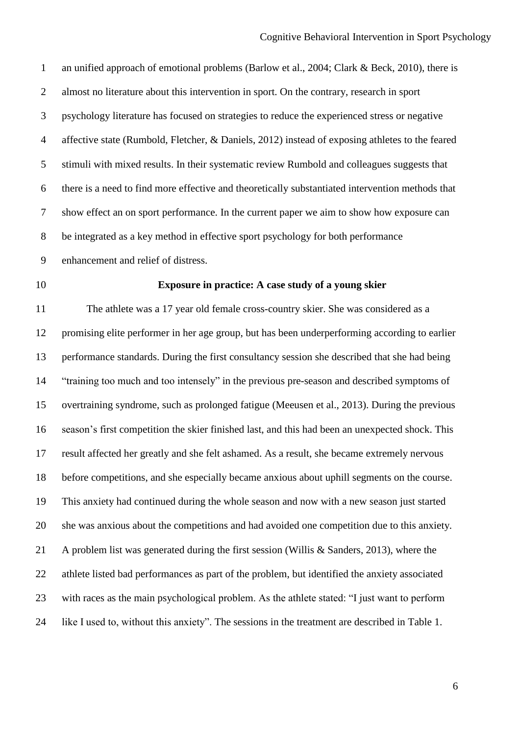1 an unified approach of emotional problems (Barlow et al., 2004; Clark & Beck, 2010), there is almost no literature about this intervention in sport. On the contrary, research in sport psychology literature has focused on strategies to reduce the experienced stress or negative affective state (Rumbold, Fletcher, & Daniels, 2012) instead of exposing athletes to the feared stimuli with mixed results. In their systematic review Rumbold and colleagues suggests that there is a need to find more effective and theoretically substantiated intervention methods that show effect an on sport performance. In the current paper we aim to show how exposure can be integrated as a key method in effective sport psychology for both performance enhancement and relief of distress. **Exposure in practice: A case study of a young skier** The athlete was a 17 year old female cross-country skier. She was considered as a promising elite performer in her age group, but has been underperforming according to earlier performance standards. During the first consultancy session she described that she had being "training too much and too intensely" in the previous pre-season and described symptoms of overtraining syndrome, such as prolonged fatigue (Meeusen et al., 2013). During the previous season's first competition the skier finished last, and this had been an unexpected shock. This result affected her greatly and she felt ashamed. As a result, she became extremely nervous before competitions, and she especially became anxious about uphill segments on the course. This anxiety had continued during the whole season and now with a new season just started she was anxious about the competitions and had avoided one competition due to this anxiety. A problem list was generated during the first session (Willis & Sanders, 2013), where the athlete listed bad performances as part of the problem, but identified the anxiety associated with races as the main psychological problem. As the athlete stated: "I just want to perform like I used to, without this anxiety". The sessions in the treatment are described in Table 1.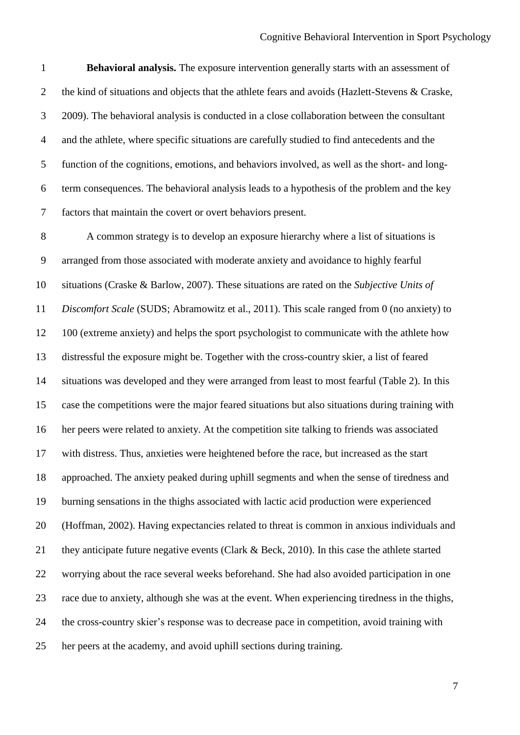**Behavioral analysis.** The exposure intervention generally starts with an assessment of the kind of situations and objects that the athlete fears and avoids (Hazlett-Stevens & Craske, 2009). The behavioral analysis is conducted in a close collaboration between the consultant and the athlete, where specific situations are carefully studied to find antecedents and the function of the cognitions, emotions, and behaviors involved, as well as the short- and long- term consequences. The behavioral analysis leads to a hypothesis of the problem and the key factors that maintain the covert or overt behaviors present.

 A common strategy is to develop an exposure hierarchy where a list of situations is arranged from those associated with moderate anxiety and avoidance to highly fearful situations (Craske & Barlow, 2007). These situations are rated on the *Subjective Units of Discomfort Scale* (SUDS; Abramowitz et al., 2011). This scale ranged from 0 (no anxiety) to 12 100 (extreme anxiety) and helps the sport psychologist to communicate with the athlete how distressful the exposure might be. Together with the cross-country skier, a list of feared situations was developed and they were arranged from least to most fearful (Table 2). In this case the competitions were the major feared situations but also situations during training with her peers were related to anxiety. At the competition site talking to friends was associated with distress. Thus, anxieties were heightened before the race, but increased as the start approached. The anxiety peaked during uphill segments and when the sense of tiredness and burning sensations in the thighs associated with lactic acid production were experienced (Hoffman, 2002). Having expectancies related to threat is common in anxious individuals and they anticipate future negative events (Clark & Beck, 2010). In this case the athlete started worrying about the race several weeks beforehand. She had also avoided participation in one race due to anxiety, although she was at the event. When experiencing tiredness in the thighs, the cross-country skier's response was to decrease pace in competition, avoid training with her peers at the academy, and avoid uphill sections during training.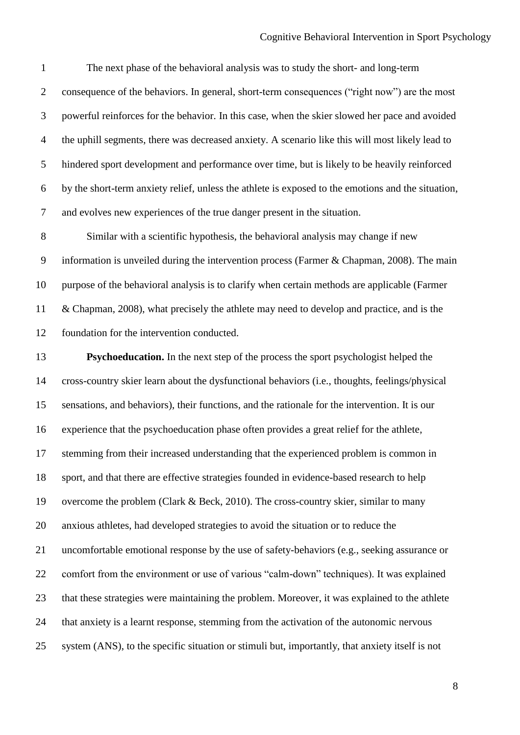The next phase of the behavioral analysis was to study the short- and long-term consequence of the behaviors. In general, short-term consequences ("right now") are the most powerful reinforces for the behavior. In this case, when the skier slowed her pace and avoided the uphill segments, there was decreased anxiety. A scenario like this will most likely lead to hindered sport development and performance over time, but is likely to be heavily reinforced by the short-term anxiety relief, unless the athlete is exposed to the emotions and the situation, and evolves new experiences of the true danger present in the situation.

 Similar with a scientific hypothesis, the behavioral analysis may change if new information is unveiled during the intervention process (Farmer & Chapman, 2008). The main purpose of the behavioral analysis is to clarify when certain methods are applicable (Farmer & Chapman, 2008), what precisely the athlete may need to develop and practice, and is the foundation for the intervention conducted.

 **Psychoeducation.** In the next step of the process the sport psychologist helped the cross-country skier learn about the dysfunctional behaviors (i.e., thoughts, feelings/physical sensations, and behaviors), their functions, and the rationale for the intervention. It is our experience that the psychoeducation phase often provides a great relief for the athlete, stemming from their increased understanding that the experienced problem is common in sport, and that there are effective strategies founded in evidence-based research to help overcome the problem (Clark & Beck, 2010). The cross-country skier, similar to many anxious athletes, had developed strategies to avoid the situation or to reduce the uncomfortable emotional response by the use of safety-behaviors (e.g., seeking assurance or comfort from the environment or use of various "calm-down" techniques). It was explained that these strategies were maintaining the problem. Moreover, it was explained to the athlete that anxiety is a learnt response, stemming from the activation of the autonomic nervous system (ANS), to the specific situation or stimuli but, importantly, that anxiety itself is not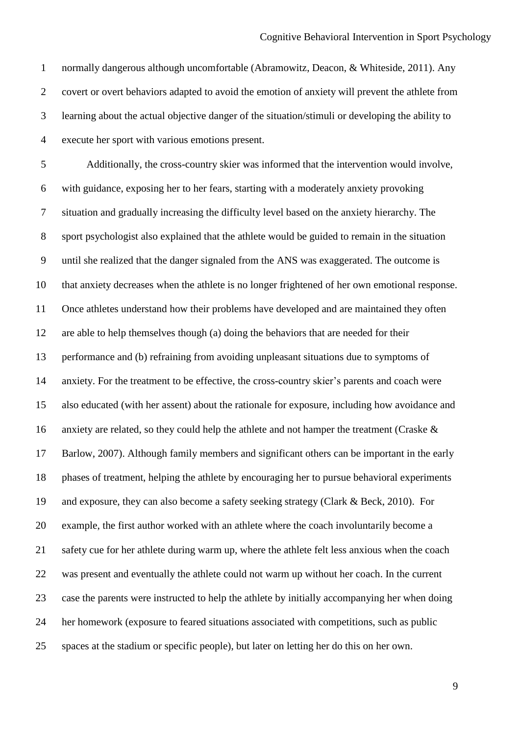normally dangerous although uncomfortable (Abramowitz, Deacon, & Whiteside, 2011). Any covert or overt behaviors adapted to avoid the emotion of anxiety will prevent the athlete from learning about the actual objective danger of the situation/stimuli or developing the ability to execute her sport with various emotions present.

 Additionally, the cross-country skier was informed that the intervention would involve, with guidance, exposing her to her fears, starting with a moderately anxiety provoking situation and gradually increasing the difficulty level based on the anxiety hierarchy. The sport psychologist also explained that the athlete would be guided to remain in the situation until she realized that the danger signaled from the ANS was exaggerated. The outcome is that anxiety decreases when the athlete is no longer frightened of her own emotional response. Once athletes understand how their problems have developed and are maintained they often are able to help themselves though (a) doing the behaviors that are needed for their performance and (b) refraining from avoiding unpleasant situations due to symptoms of anxiety. For the treatment to be effective, the cross-country skier's parents and coach were also educated (with her assent) about the rationale for exposure, including how avoidance and 16 anxiety are related, so they could help the athlete and not hamper the treatment (Craske & Barlow, 2007). Although family members and significant others can be important in the early phases of treatment, helping the athlete by encouraging her to pursue behavioral experiments and exposure, they can also become a safety seeking strategy (Clark & Beck, 2010). For example, the first author worked with an athlete where the coach involuntarily become a safety cue for her athlete during warm up, where the athlete felt less anxious when the coach was present and eventually the athlete could not warm up without her coach. In the current case the parents were instructed to help the athlete by initially accompanying her when doing her homework (exposure to feared situations associated with competitions, such as public spaces at the stadium or specific people), but later on letting her do this on her own.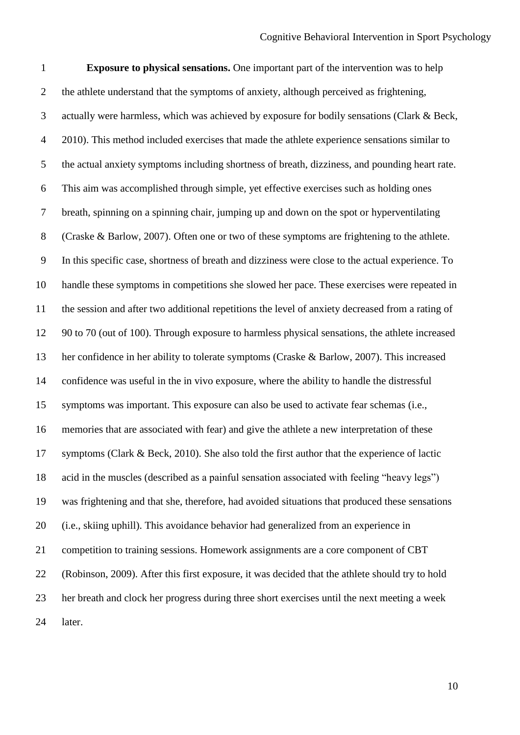**Exposure to physical sensations.** One important part of the intervention was to help the athlete understand that the symptoms of anxiety, although perceived as frightening, actually were harmless, which was achieved by exposure for bodily sensations (Clark & Beck, 2010). This method included exercises that made the athlete experience sensations similar to the actual anxiety symptoms including shortness of breath, dizziness, and pounding heart rate. This aim was accomplished through simple, yet effective exercises such as holding ones breath, spinning on a spinning chair, jumping up and down on the spot or hyperventilating (Craske & Barlow, 2007). Often one or two of these symptoms are frightening to the athlete. In this specific case, shortness of breath and dizziness were close to the actual experience. To handle these symptoms in competitions she slowed her pace. These exercises were repeated in the session and after two additional repetitions the level of anxiety decreased from a rating of 90 to 70 (out of 100). Through exposure to harmless physical sensations, the athlete increased her confidence in her ability to tolerate symptoms (Craske & Barlow, 2007). This increased confidence was useful in the in vivo exposure, where the ability to handle the distressful symptoms was important. This exposure can also be used to activate fear schemas (i.e., memories that are associated with fear) and give the athlete a new interpretation of these symptoms (Clark & Beck, 2010). She also told the first author that the experience of lactic acid in the muscles (described as a painful sensation associated with feeling "heavy legs") was frightening and that she, therefore, had avoided situations that produced these sensations (i.e., skiing uphill). This avoidance behavior had generalized from an experience in competition to training sessions. Homework assignments are a core component of CBT (Robinson, 2009). After this first exposure, it was decided that the athlete should try to hold her breath and clock her progress during three short exercises until the next meeting a week later.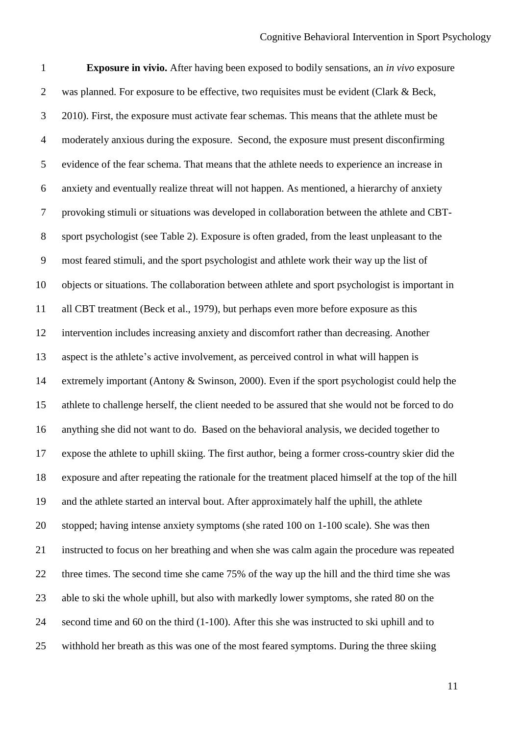**Exposure in vivio.** After having been exposed to bodily sensations, an *in vivo* exposure was planned. For exposure to be effective, two requisites must be evident (Clark & Beck, 2010). First, the exposure must activate fear schemas. This means that the athlete must be moderately anxious during the exposure. Second, the exposure must present disconfirming evidence of the fear schema. That means that the athlete needs to experience an increase in anxiety and eventually realize threat will not happen. As mentioned, a hierarchy of anxiety provoking stimuli or situations was developed in collaboration between the athlete and CBT- sport psychologist (see Table 2). Exposure is often graded, from the least unpleasant to the most feared stimuli, and the sport psychologist and athlete work their way up the list of objects or situations. The collaboration between athlete and sport psychologist is important in all CBT treatment (Beck et al., 1979), but perhaps even more before exposure as this intervention includes increasing anxiety and discomfort rather than decreasing. Another aspect is the athlete's active involvement, as perceived control in what will happen is extremely important (Antony & Swinson, 2000). Even if the sport psychologist could help the athlete to challenge herself, the client needed to be assured that she would not be forced to do anything she did not want to do. Based on the behavioral analysis, we decided together to expose the athlete to uphill skiing. The first author, being a former cross-country skier did the exposure and after repeating the rationale for the treatment placed himself at the top of the hill and the athlete started an interval bout. After approximately half the uphill, the athlete stopped; having intense anxiety symptoms (she rated 100 on 1-100 scale). She was then instructed to focus on her breathing and when she was calm again the procedure was repeated three times. The second time she came 75% of the way up the hill and the third time she was able to ski the whole uphill, but also with markedly lower symptoms, she rated 80 on the second time and 60 on the third (1-100). After this she was instructed to ski uphill and to withhold her breath as this was one of the most feared symptoms. During the three skiing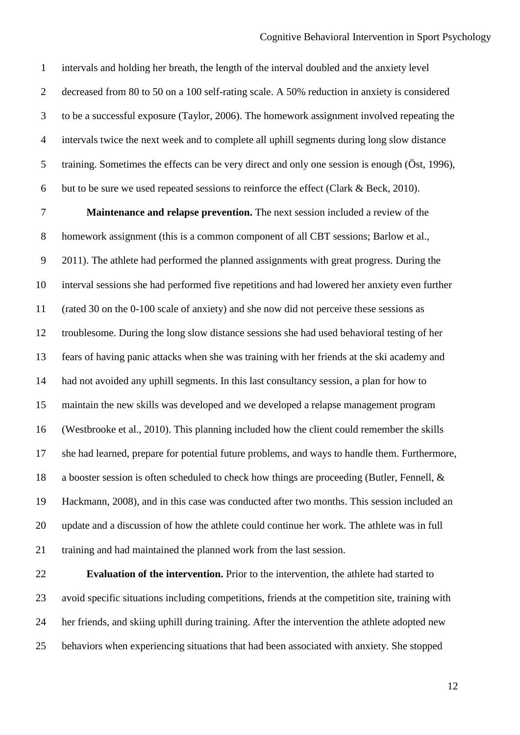intervals and holding her breath, the length of the interval doubled and the anxiety level decreased from 80 to 50 on a 100 self-rating scale. A 50% reduction in anxiety is considered to be a successful exposure (Taylor, 2006). The homework assignment involved repeating the intervals twice the next week and to complete all uphill segments during long slow distance training. Sometimes the effects can be very direct and only one session is enough (Öst, 1996), but to be sure we used repeated sessions to reinforce the effect (Clark & Beck, 2010).

 **Maintenance and relapse prevention.** The next session included a review of the homework assignment (this is a common component of all CBT sessions; Barlow et al., 2011). The athlete had performed the planned assignments with great progress. During the interval sessions she had performed five repetitions and had lowered her anxiety even further (rated 30 on the 0-100 scale of anxiety) and she now did not perceive these sessions as troublesome. During the long slow distance sessions she had used behavioral testing of her fears of having panic attacks when she was training with her friends at the ski academy and had not avoided any uphill segments. In this last consultancy session, a plan for how to maintain the new skills was developed and we developed a relapse management program (Westbrooke et al., 2010). This planning included how the client could remember the skills she had learned, prepare for potential future problems, and ways to handle them. Furthermore, 18 a booster session is often scheduled to check how things are proceeding (Butler, Fennell, & Hackmann, 2008), and in this case was conducted after two months. This session included an update and a discussion of how the athlete could continue her work. The athlete was in full training and had maintained the planned work from the last session.

 **Evaluation of the intervention.** Prior to the intervention, the athlete had started to avoid specific situations including competitions, friends at the competition site, training with her friends, and skiing uphill during training. After the intervention the athlete adopted new behaviors when experiencing situations that had been associated with anxiety. She stopped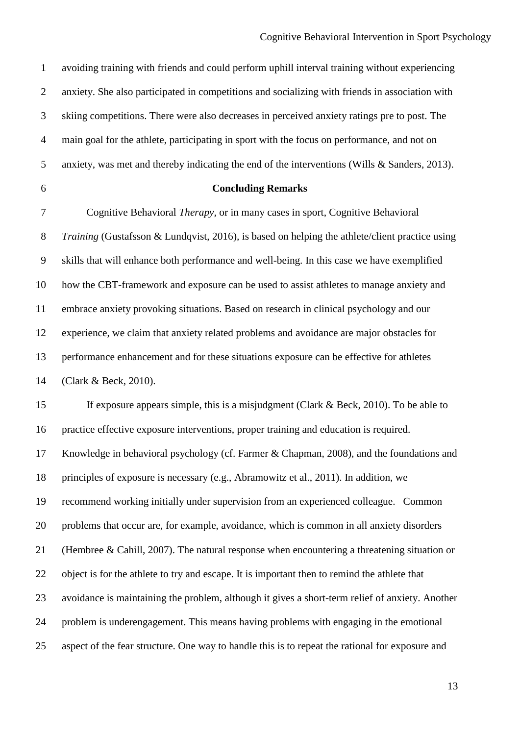avoiding training with friends and could perform uphill interval training without experiencing anxiety. She also participated in competitions and socializing with friends in association with skiing competitions. There were also decreases in perceived anxiety ratings pre to post. The main goal for the athlete, participating in sport with the focus on performance, and not on anxiety, was met and thereby indicating the end of the interventions (Wills & Sanders, 2013). **Concluding Remarks** Cognitive Behavioral *Therapy,* or in many cases in sport, Cognitive Behavioral *Training* (Gustafsson & Lundqvist, 2016)*,* is based on helping the athlete/client practice using skills that will enhance both performance and well-being. In this case we have exemplified how the CBT-framework and exposure can be used to assist athletes to manage anxiety and embrace anxiety provoking situations. Based on research in clinical psychology and our experience, we claim that anxiety related problems and avoidance are major obstacles for performance enhancement and for these situations exposure can be effective for athletes (Clark & Beck, 2010). If exposure appears simple, this is a misjudgment (Clark & Beck, 2010). To be able to practice effective exposure interventions, proper training and education is required. Knowledge in behavioral psychology (cf. Farmer & Chapman, 2008), and the foundations and principles of exposure is necessary (e.g., Abramowitz et al., 2011). In addition, we recommend working initially under supervision from an experienced colleague. Common problems that occur are, for example, avoidance, which is common in all anxiety disorders (Hembree & Cahill, 2007). The natural response when encountering a threatening situation or object is for the athlete to try and escape. It is important then to remind the athlete that avoidance is maintaining the problem, although it gives a short-term relief of anxiety. Another problem is underengagement. This means having problems with engaging in the emotional aspect of the fear structure. One way to handle this is to repeat the rational for exposure and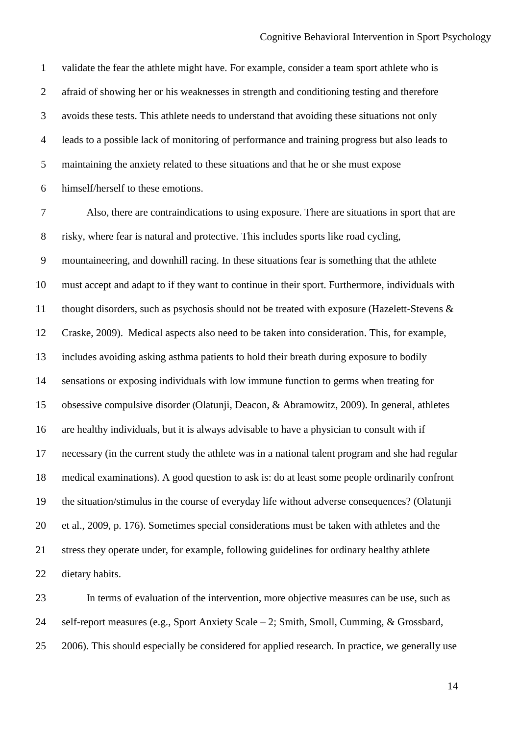validate the fear the athlete might have. For example, consider a team sport athlete who is afraid of showing her or his weaknesses in strength and conditioning testing and therefore avoids these tests. This athlete needs to understand that avoiding these situations not only leads to a possible lack of monitoring of performance and training progress but also leads to maintaining the anxiety related to these situations and that he or she must expose himself/herself to these emotions.

 Also, there are contraindications to using exposure. There are situations in sport that are risky, where fear is natural and protective. This includes sports like road cycling, mountaineering, and downhill racing. In these situations fear is something that the athlete must accept and adapt to if they want to continue in their sport. Furthermore, individuals with thought disorders, such as psychosis should not be treated with exposure (Hazelett-Stevens & Craske, 2009). Medical aspects also need to be taken into consideration. This, for example, includes avoiding asking asthma patients to hold their breath during exposure to bodily sensations or exposing individuals with low immune function to germs when treating for obsessive compulsive disorder (Olatunji, Deacon, & Abramowitz, 2009). In general, athletes are healthy individuals, but it is always advisable to have a physician to consult with if necessary (in the current study the athlete was in a national talent program and she had regular medical examinations). A good question to ask is: do at least some people ordinarily confront the situation/stimulus in the course of everyday life without adverse consequences? (Olatunji et al., 2009, p. 176). Sometimes special considerations must be taken with athletes and the stress they operate under, for example, following guidelines for ordinary healthy athlete dietary habits.

 In terms of evaluation of the intervention, more objective measures can be use, such as self-report measures (e.g., Sport Anxiety Scale – 2; Smith, Smoll, Cumming, & Grossbard, 2006). This should especially be considered for applied research. In practice, we generally use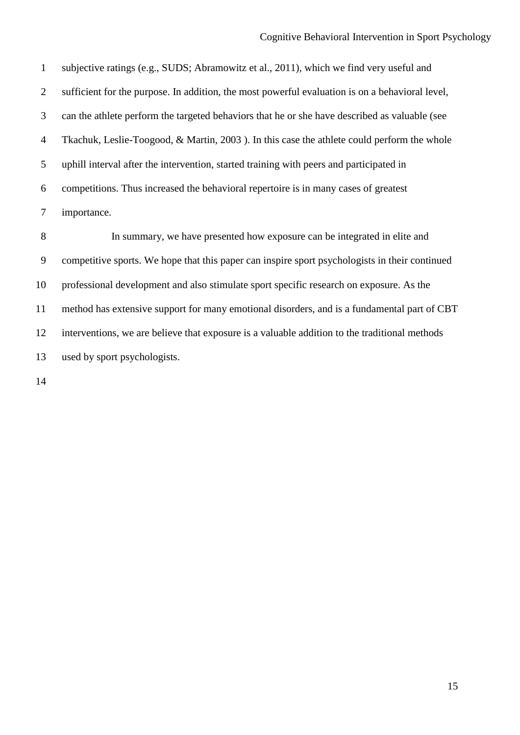subjective ratings (e.g., SUDS; Abramowitz et al., 2011), which we find very useful and sufficient for the purpose. In addition, the most powerful evaluation is on a behavioral level, can the athlete perform the targeted behaviors that he or she have described as valuable (see Tkachuk, Leslie-Toogood, & Martin, 2003 ). In this case the athlete could perform the whole uphill interval after the intervention, started training with peers and participated in competitions. Thus increased the behavioral repertoire is in many cases of greatest importance.

8 In summary, we have presented how exposure can be integrated in elite and competitive sports. We hope that this paper can inspire sport psychologists in their continued professional development and also stimulate sport specific research on exposure. As the method has extensive support for many emotional disorders, and is a fundamental part of CBT interventions, we are believe that exposure is a valuable addition to the traditional methods used by sport psychologists.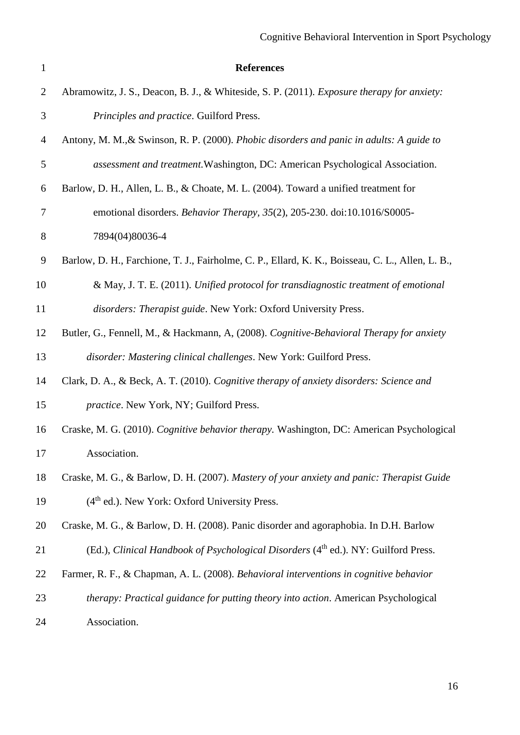| $\mathbf{1}$     | <b>References</b>                                                                                |
|------------------|--------------------------------------------------------------------------------------------------|
| $\overline{2}$   | Abramowitz, J. S., Deacon, B. J., & Whiteside, S. P. (2011). Exposure therapy for anxiety:       |
| 3                | Principles and practice. Guilford Press.                                                         |
| $\overline{4}$   | Antony, M. M., & Swinson, R. P. (2000). Phobic disorders and panic in adults: A guide to         |
| 5                | assessment and treatment. Washington, DC: American Psychological Association.                    |
| 6                | Barlow, D. H., Allen, L. B., & Choate, M. L. (2004). Toward a unified treatment for              |
| $\tau$           | emotional disorders. Behavior Therapy, 35(2), 205-230. doi:10.1016/S0005-                        |
| 8                | 7894(04)80036-4                                                                                  |
| $\boldsymbol{9}$ | Barlow, D. H., Farchione, T. J., Fairholme, C. P., Ellard, K. K., Boisseau, C. L., Allen, L. B., |
| 10               | & May, J. T. E. (2011). Unified protocol for transdiagnostic treatment of emotional              |
| 11               | disorders: Therapist guide. New York: Oxford University Press.                                   |
| 12               | Butler, G., Fennell, M., & Hackmann, A, (2008). Cognitive-Behavioral Therapy for anxiety         |
| 13               | disorder: Mastering clinical challenges. New York: Guilford Press.                               |
| 14               | Clark, D. A., & Beck, A. T. (2010). Cognitive therapy of anxiety disorders: Science and          |
| 15               | practice. New York, NY; Guilford Press.                                                          |
| 16               | Craske, M. G. (2010). Cognitive behavior therapy. Washington, DC: American Psychological         |
| 17               | Association.                                                                                     |
| 18               | Craske, M. G., & Barlow, D. H. (2007). Mastery of your anxiety and panic: Therapist Guide        |
| 19               | (4 <sup>th</sup> ed.). New York: Oxford University Press.                                        |
| 20               | Craske, M. G., & Barlow, D. H. (2008). Panic disorder and agoraphobia. In D.H. Barlow            |
| 21               | (Ed.), Clinical Handbook of Psychological Disorders (4 <sup>th</sup> ed.). NY: Guilford Press.   |
| 22               | Farmer, R. F., & Chapman, A. L. (2008). Behavioral interventions in cognitive behavior           |
| 23               | therapy: Practical guidance for putting theory into action. American Psychological               |
| 24               | Association.                                                                                     |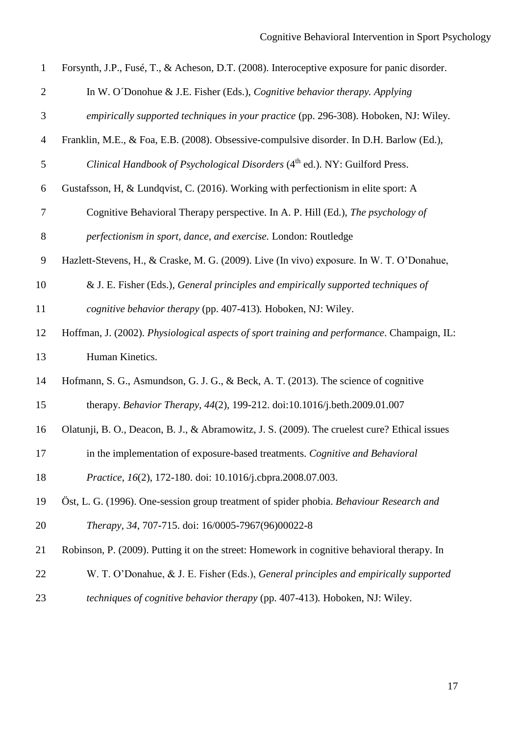| $\mathbf{1}$   | Forsynth, J.P., Fusé, T., & Acheson, D.T. (2008). Interoceptive exposure for panic disorder.  |
|----------------|-----------------------------------------------------------------------------------------------|
| $\mathbf{2}$   | In W. O'Donohue & J.E. Fisher (Eds.), Cognitive behavior therapy. Applying                    |
| 3              | empirically supported techniques in your practice (pp. 296-308). Hoboken, NJ: Wiley.          |
| $\overline{4}$ | Franklin, M.E., & Foa, E.B. (2008). Obsessive-compulsive disorder. In D.H. Barlow (Ed.),      |
| $\mathfrak{S}$ | Clinical Handbook of Psychological Disorders (4 <sup>th</sup> ed.). NY: Guilford Press.       |
| 6              | Gustafsson, H, & Lundqvist, C. (2016). Working with perfectionism in elite sport: A           |
| $\tau$         | Cognitive Behavioral Therapy perspective. In A. P. Hill (Ed.), The psychology of              |
| $8\,$          | perfectionism in sport, dance, and exercise. London: Routledge                                |
| 9              | Hazlett-Stevens, H., & Craske, M. G. (2009). Live (In vivo) exposure. In W. T. O'Donahue,     |
| 10             | & J. E. Fisher (Eds.), General principles and empirically supported techniques of             |
| 11             | cognitive behavior therapy (pp. 407-413). Hoboken, NJ: Wiley.                                 |
| 12             | Hoffman, J. (2002). Physiological aspects of sport training and performance. Champaign, IL:   |
| 13             | Human Kinetics.                                                                               |
| 14             | Hofmann, S. G., Asmundson, G. J. G., & Beck, A. T. (2013). The science of cognitive           |
| 15             | therapy. Behavior Therapy, 44(2), 199-212. doi:10.1016/j.beth.2009.01.007                     |
| 16             | Olatunji, B. O., Deacon, B. J., & Abramowitz, J. S. (2009). The cruelest cure? Ethical issues |
| 17             | in the implementation of exposure-based treatments. Cognitive and Behavioral                  |
| 18             | Practice, 16(2), 172-180. doi: 10.1016/j.cbpra.2008.07.003.                                   |
| 19             | Öst, L. G. (1996). One-session group treatment of spider phobia. Behaviour Research and       |
| 20             | Therapy, 34, 707-715. doi: 16/0005-7967(96)00022-8                                            |
| 21             | Robinson, P. (2009). Putting it on the street: Homework in cognitive behavioral therapy. In   |
| 22             | W. T. O'Donahue, & J. E. Fisher (Eds.), General principles and empirically supported          |
| 23             | <i>techniques of cognitive behavior therapy</i> (pp. 407-413). Hoboken, NJ: Wiley.            |